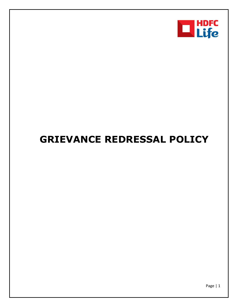

# **GRIEVANCE REDRESSAL POLICY**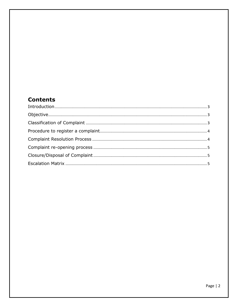## **Contents**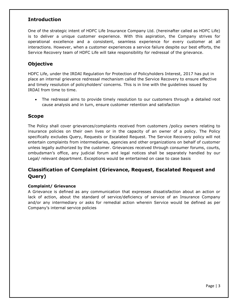## <span id="page-2-0"></span>**Introduction**

One of the strategic intent of HDFC Life Insurance Company Ltd. (hereinafter called as HDFC Life) is to deliver a unique customer experience. With this aspiration, the Company strives for operational excellence and a consistent, seamless experience for every customer at all interactions. However, when a customer experiences a service failure despite our best efforts, the Service Recovery team of HDFC Life will take responsibility for redressal of the grievance.

## <span id="page-2-1"></span>**Objective**

HDFC Life, under the IRDAI Regulation for Protection of Policyholders Interest, 2017 has put in place an internal grievance redressal mechanism called the Service Recovery to ensure effective and timely resolution of policyholders' concerns. This is in line with the guidelines issued by IRDAI from time to time.

 The redressal aims to provide timely resolution to our customers through a detailed root cause analysis and in turn, ensure customer retention and satisfaction

## **Scope**

The Policy shall cover grievances/complaints received from customers /policy owners relating to insurance policies on their own lives or in the capacity of an owner of a policy. The Policy specifically excludes Query, Requests or Escalated Request. The Service Recovery policy will not entertain complaints from intermediaries, agencies and other organizations on behalf of customer unless legally authorized by the customer. Grievances received through consumer forums, courts, ombudsman's office, any judicial forum and legal notices shall be separately handled by our Legal/ relevant department. Exceptions would be entertained on case to case basis

## <span id="page-2-2"></span>**Classification of Complaint (Grievance, Request, Escalated Request and Query)**

#### **Complaint/ Grievance**

A Grievance is defined as any communication that expresses dissatisfaction about an action or lack of action, about the standard of service/deficiency of service of an Insurance Company and/or any intermediary or asks for remedial action wherein Service would be defined as per Company's internal service policies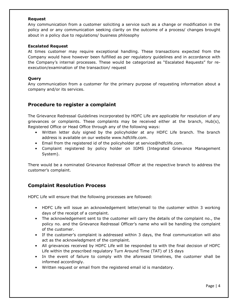#### **Request**

Any communication from a customer soliciting a service such as a change or modification in the policy and or any communication seeking clarity on the outcome of a process/ changes brought about in a policy due to regulations/ business philosophy

#### **Escalated Request**

At times customer may require exceptional handling. These transactions expected from the Company would have however been fulfilled as per regulatory guidelines and in accordance with the Company's internal processes. These would be categorized as "Escalated Requests" for reexecution/examination of the transaction/ request

#### **Query**

Any communication from a customer for the primary purpose of requesting information about a company and/or its services.

## <span id="page-3-0"></span>**Procedure to register a complaint**

The Grievance Redressal Guidelines incorporated by HDFC Life are applicable for resolution of any grievances or complaints. These complaints may be received either at the branch, Hub(s), Registered Office or Head Office through any of the following ways:

- Written letter duly signed by the policyholder at any HDFC Life branch. The branch address is available on our website www.hdfclife.com.
- Email from the registered id of the policyholder at service@hdfclife.com.
- Complaint registered by policy holder on IGMS (Integrated Grievance Management System).

There would be a nominated Grievance Redressal Officer at the respective branch to address the customer's complaint.

## <span id="page-3-1"></span>**Complaint Resolution Process**

HDFC Life will ensure that the following processes are followed:

- HDFC Life will issue an acknowledgement letter/email to the customer within 3 working days of the receipt of a complaint.
- The acknowledgement sent to the customer will carry the details of the complaint no., the policy no. and the Grievance Redressal Officer's name who will be handling the complaint of the customer.
- If the customer's complaint is addressed within 3 days, the final communication will also act as the acknowledgment of the complaint.
- All grievances received by HDFC Life will be responded to with the final decision of HDFC Life within the prescribed regulatory Turn Around Time (TAT) of 15 days
- In the event of failure to comply with the aforesaid timelines, the customer shall be informed accordingly.
- Written request or email from the registered email id is mandatory.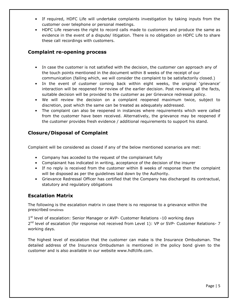- If required, HDFC Life will undertake complaints investigation by taking inputs from the customer over telephone or personal meetings.
- HDFC Life reserves the right to record calls made to customers and produce the same as evidence in the event of a dispute/ litigation. There is no obligation on HDFC Life to share these call recordings with customers.

## <span id="page-4-0"></span>**Complaint re-opening process**

- In case the customer is not satisfied with the decision, the customer can approach any of the touch points mentioned in the document within 8 weeks of the receipt of our communication (failing which, we will consider the complaint to be satisfactorily closed.)
- In the event of customer coming back within eight weeks, the original 'grievance' interaction will be reopened for review of the earlier decision. Post reviewing all the facts, suitable decision will be provided to the customer as per Grievance redressal policy.
- We will review the decision on a complaint reopened maximum twice, subject to discretion, post which the same can be treated as adequately addressed.
- The complaint can also be reopened in instances where requirements which were called from the customer have been received. Alternatively, the grievance may be reopened if the customer provides fresh evidence / additional requirements to support his stand.

## <span id="page-4-1"></span>**Closure/Disposal of Complaint**

Complaint will be considered as closed if any of the below mentioned scenarios are met:

- Company has acceded to the request of the complainant fully
- Complainant has indicated in writing, acceptance of the decision of the insurer
- If no reply is received from the customer within 8 weeks of response then the complaint will be disposed as per the guidelines laid down by the Authority.
- Grievance Redressal Officer has certified that the Company has discharged its contractual, statutory and regulatory obligations

## <span id="page-4-2"></span>**Escalation Matrix**

The following is the escalation matrix in case there is no response to a grievance within the prescribed timelines

1<sup>st</sup> level of escalation: Senior Manager or AVP- Customer Relations -10 working days 2<sup>nd</sup> level of escalation (for response not received from Level 1): VP or SVP- Customer Relations- 7 working days.

The highest level of escalation that the customer can make is the Insurance Ombudsman. The detailed address of the Insurance Ombudsman is mentioned in the policy bond given to the customer and is also available in our website www.hdfclife.com.